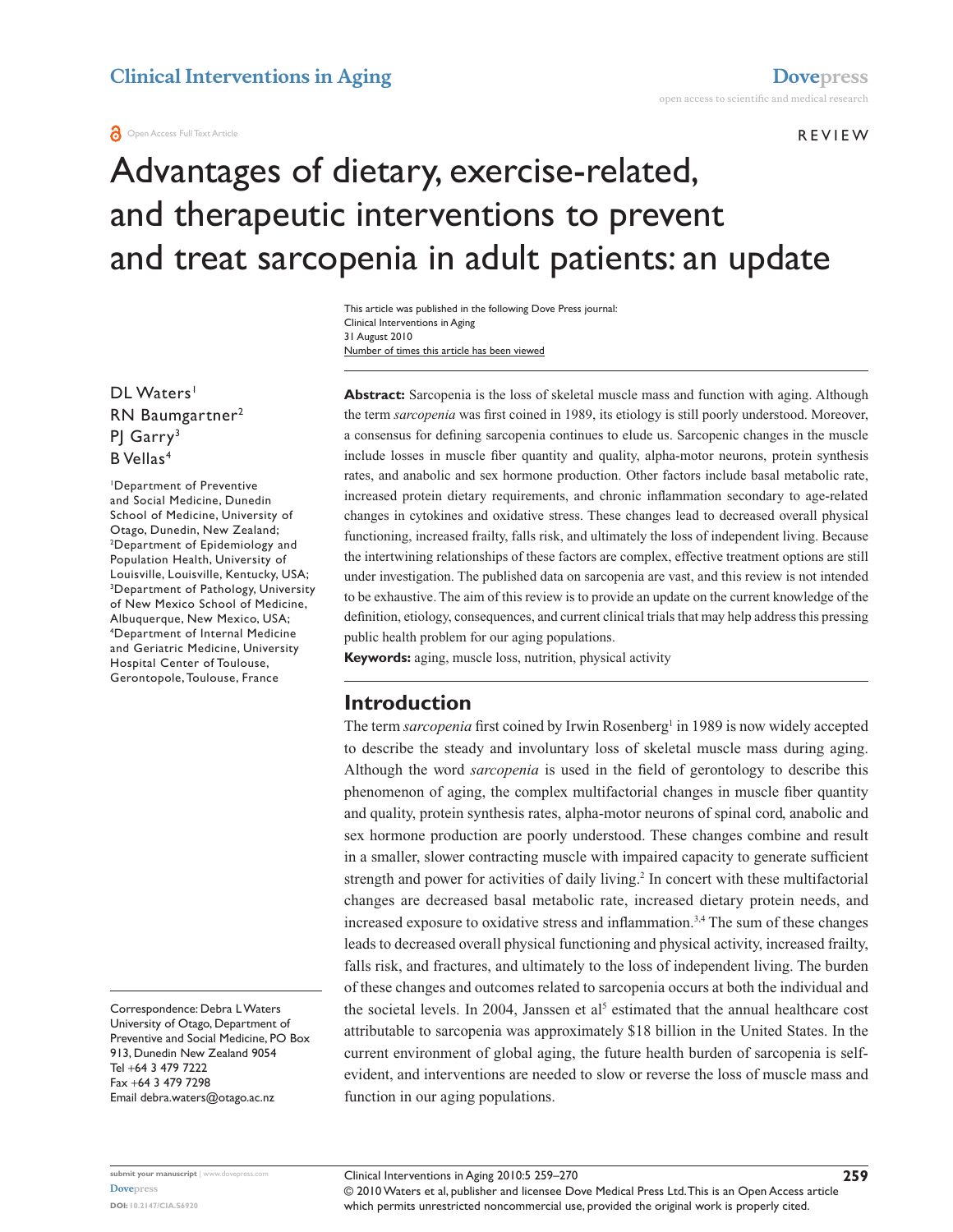#### **REVIEW**

# Advantages of dietary, exercise-related, and therapeutic interventions to prevent and treat sarcopenia in adult patients: an update

Number of times this article has been viewed This article was published in the following Dove Press journal: Clinical Interventions in Aging 31 August 2010

DL Waters<sup>1</sup> RN Baumgartner2 PJ Garry<sup>3</sup> B Vellas<sup>4</sup>

1 Department of Preventive and Social Medicine, Dunedin School of Medicine, University of Otago, Dunedin, New Zealand; 2 Department of Epidemiology and Population Health, University of Louisville, Louisville, Kentucky, USA; 3 Department of Pathology, University of New Mexico School of Medicine, Albuquerque, New Mexico, USA; 4 Department of Internal Medicine and Geriatric Medicine, University Hospital Center of Toulouse, Gerontopole, Toulouse, France

Correspondence: Debra L Waters University of Otago, Department of Preventive and Social Medicine, PO Box 913, Dunedin New Zealand 9054 Tel +64 3 479 7222 Fax +64 3 479 7298 Email debra.waters@otago.ac.nz

**Abstract:** Sarcopenia is the loss of skeletal muscle mass and function with aging. Although the term *sarcopenia* was first coined in 1989, its etiology is still poorly understood. Moreover, a consensus for defining sarcopenia continues to elude us. Sarcopenic changes in the muscle include losses in muscle fiber quantity and quality, alpha-motor neurons, protein synthesis rates, and anabolic and sex hormone production. Other factors include basal metabolic rate, increased protein dietary requirements, and chronic inflammation secondary to age-related changes in cytokines and oxidative stress. These changes lead to decreased overall physical functioning, increased frailty, falls risk, and ultimately the loss of independent living. Because the intertwining relationships of these factors are complex, effective treatment options are still under investigation. The published data on sarcopenia are vast, and this review is not intended to be exhaustive. The aim of this review is to provide an update on the current knowledge of the definition, etiology, consequences, and current clinical trials that may help address this pressing public health problem for our aging populations.

**Keywords:** aging, muscle loss, nutrition, physical activity

### **Introduction**

The term *sarcopenia* first coined by Irwin Rosenberg<sup>1</sup> in 1989 is now widely accepted to describe the steady and involuntary loss of skeletal muscle mass during aging. Although the word *sarcopenia* is used in the field of gerontology to describe this phenomenon of aging, the complex multifactorial changes in muscle fiber quantity and quality, protein synthesis rates, alpha-motor neurons of spinal cord, anabolic and sex hormone production are poorly understood. These changes combine and result in a smaller, slower contracting muscle with impaired capacity to generate sufficient strength and power for activities of daily living.<sup>2</sup> In concert with these multifactorial changes are decreased basal metabolic rate, increased dietary protein needs, and increased exposure to oxidative stress and inflammation.<sup>3,4</sup> The sum of these changes leads to decreased overall physical functioning and physical activity, increased frailty, falls risk, and fractures, and ultimately to the loss of independent living. The burden of these changes and outcomes related to sarcopenia occurs at both the individual and the societal levels. In 2004, Janssen et al<sup>5</sup> estimated that the annual healthcare cost attributable to sarcopenia was approximately \$18 billion in the United States. In the current environment of global aging, the future health burden of sarcopenia is selfevident, and interventions are needed to slow or reverse the loss of muscle mass and function in our aging populations.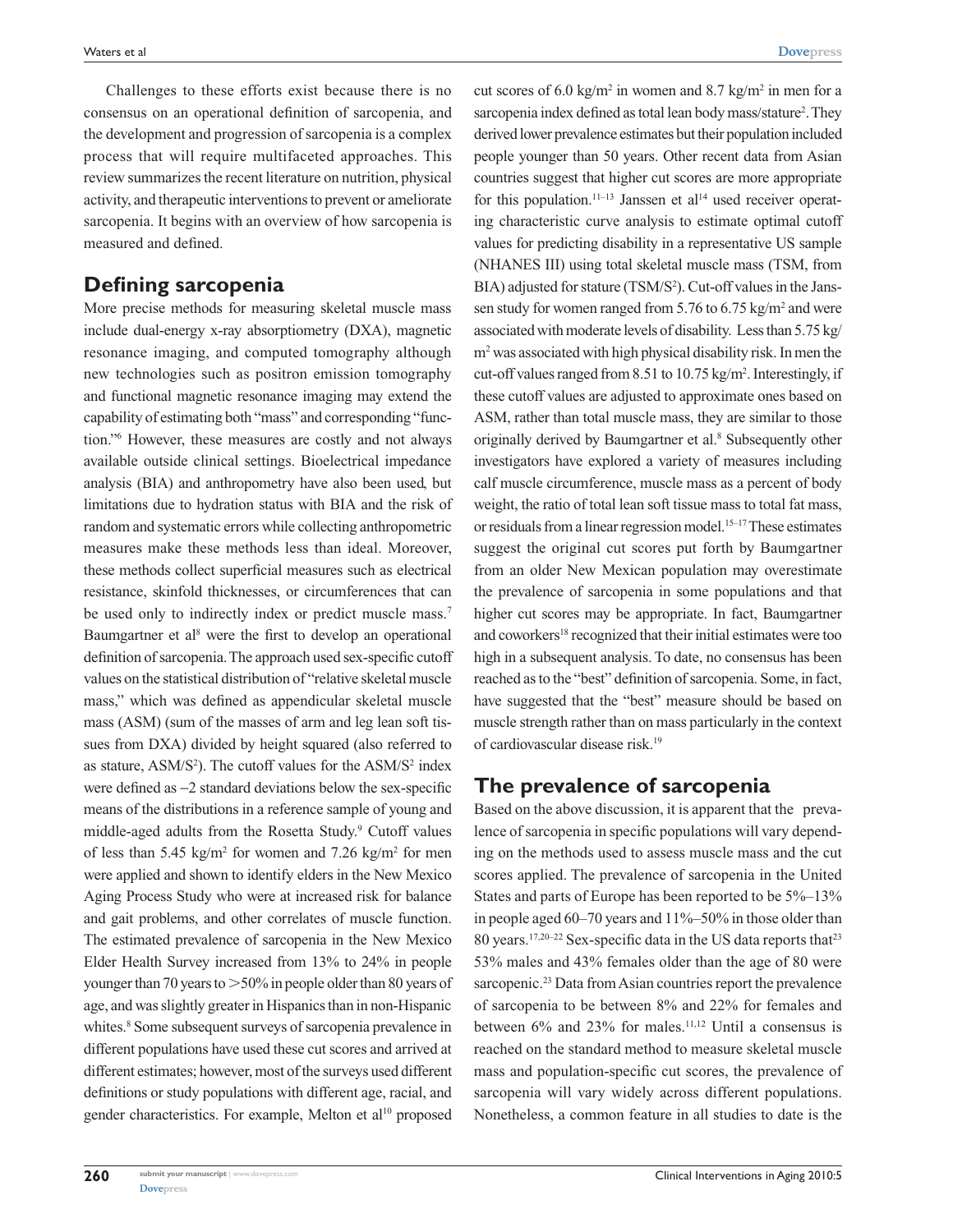Challenges to these efforts exist because there is no consensus on an operational definition of sarcopenia, and the development and progression of sarcopenia is a complex process that will require multifaceted approaches. This review summarizes the recent literature on nutrition, physical activity, and therapeutic interventions to prevent or ameliorate sarcopenia. It begins with an overview of how sarcopenia is measured and defined.

### **Defining sarcopenia**

More precise methods for measuring skeletal muscle mass include dual-energy x-ray absorptiometry (DXA), magnetic resonance imaging, and computed tomography although new technologies such as positron emission tomography and functional magnetic resonance imaging may extend the capability of estimating both "mass" and corresponding "function."6 However, these measures are costly and not always available outside clinical settings. Bioelectrical impedance analysis (BIA) and anthropometry have also been used, but limitations due to hydration status with BIA and the risk of random and systematic errors while collecting anthropometric measures make these methods less than ideal. Moreover, these methods collect superficial measures such as electrical resistance, skinfold thicknesses, or circumferences that can be used only to indirectly index or predict muscle mass.<sup>7</sup> Baumgartner et al<sup>8</sup> were the first to develop an operational definition of sarcopenia. The approach used sex-specific cutoff values on the statistical distribution of "relative skeletal muscle mass," which was defined as appendicular skeletal muscle mass (ASM) (sum of the masses of arm and leg lean soft tissues from DXA) divided by height squared (also referred to as stature,  $\text{ASM/S}^2$ ). The cutoff values for the  $\text{ASM/S}^2$  index were defined as −2 standard deviations below the sex-specific means of the distributions in a reference sample of young and middle-aged adults from the Rosetta Study.<sup>9</sup> Cutoff values of less than  $5.45 \text{ kg/m}^2$  for women and  $7.26 \text{ kg/m}^2$  for men were applied and shown to identify elders in the New Mexico Aging Process Study who were at increased risk for balance and gait problems, and other correlates of muscle function. The estimated prevalence of sarcopenia in the New Mexico Elder Health Survey increased from 13% to 24% in people younger than 70 years to  $>50\%$  in people older than 80 years of age, and was slightly greater in Hispanics than in non-Hispanic whites.<sup>8</sup> Some subsequent surveys of sarcopenia prevalence in different populations have used these cut scores and arrived at different estimates; however, most of the surveys used different definitions or study populations with different age, racial, and gender characteristics. For example, Melton et al<sup>10</sup> proposed

**[Dovepress](www.dovepress.com)  260**

cut scores of 6.0 kg/m<sup>2</sup> in women and 8.7 kg/m<sup>2</sup> in men for a sarcopenia index defined as total lean body mass/stature<sup>2</sup>. They derived lower prevalence estimates but their population included people younger than 50 years. Other recent data from Asian countries suggest that higher cut scores are more appropriate for this population.<sup>11–13</sup> Janssen et al<sup>14</sup> used receiver operating characteristic curve analysis to estimate optimal cutoff values for predicting disability in a representative US sample (NHANES III) using total skeletal muscle mass (TSM, from BIA) adjusted for stature (TSM/S<sup>2</sup>). Cut-off values in the Janssen study for women ranged from 5.76 to  $6.75 \text{ kg/m}^2$  and were associated with moderate levels of disability. Less than 5.75 kg/ m2 was associated with high physical disability risk. In men the cut-off values ranged from 8.51 to 10.75 kg/m<sup>2</sup>. Interestingly, if these cutoff values are adjusted to approximate ones based on ASM, rather than total muscle mass, they are similar to those originally derived by Baumgartner et al.<sup>8</sup> Subsequently other investigators have explored a variety of measures including calf muscle circumference, muscle mass as a percent of body weight, the ratio of total lean soft tissue mass to total fat mass, or residuals from a linear regression model.<sup>15-17</sup> These estimates suggest the original cut scores put forth by Baumgartner from an older New Mexican population may overestimate the prevalence of sarcopenia in some populations and that higher cut scores may be appropriate. In fact, Baumgartner and coworkers<sup>18</sup> recognized that their initial estimates were too high in a subsequent analysis. To date, no consensus has been reached as to the "best" definition of sarcopenia. Some, in fact, have suggested that the "best" measure should be based on muscle strength rather than on mass particularly in the context of cardiovascular disease risk.19

# **The prevalence of sarcopenia**

Based on the above discussion, it is apparent that the prevalence of sarcopenia in specific populations will vary depending on the methods used to assess muscle mass and the cut scores applied. The prevalence of sarcopenia in the United States and parts of Europe has been reported to be 5%–13% in people aged 60–70 years and 11%–50% in those older than 80 years.<sup>17,20–22</sup> Sex-specific data in the US data reports that<sup>23</sup> 53% males and 43% females older than the age of 80 were sarcopenic.<sup>23</sup> Data from Asian countries report the prevalence of sarcopenia to be between 8% and 22% for females and between 6% and 23% for males.11,12 Until a consensus is reached on the standard method to measure skeletal muscle mass and population-specific cut scores, the prevalence of sarcopenia will vary widely across different populations. Nonetheless, a common feature in all studies to date is the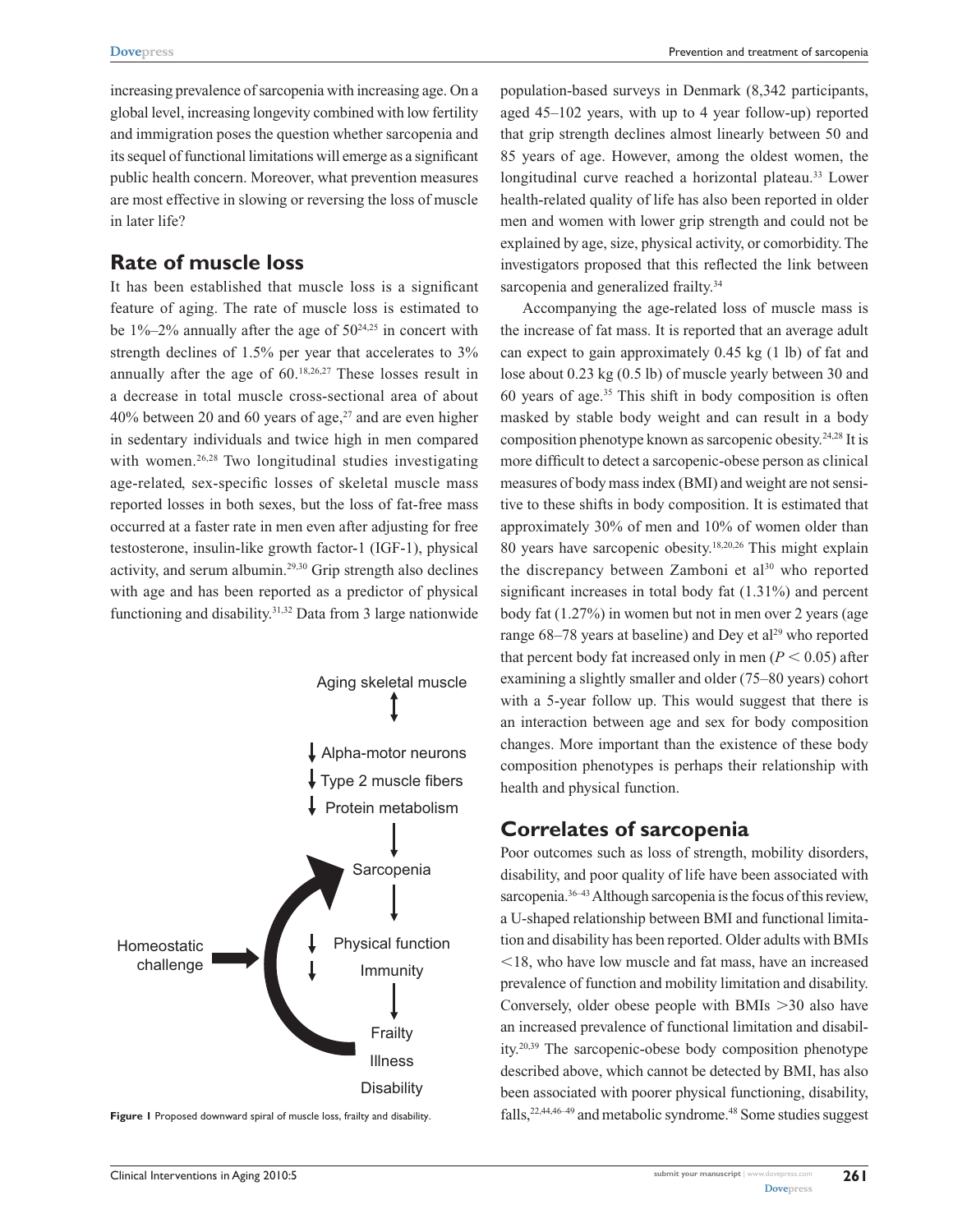Prevention and treatment of sarcopenia

increasing prevalence of sarcopenia with increasing age. On a global level, increasing longevity combined with low fertility and immigration poses the question whether sarcopenia and its sequel of functional limitations will emerge as a significant public health concern. Moreover, what prevention measures are most effective in slowing or reversing the loss of muscle in later life?

# **Rate of muscle loss**

It has been established that muscle loss is a significant feature of aging. The rate of muscle loss is estimated to be  $1\% - 2\%$  annually after the age of  $50^{24,25}$  in concert with strength declines of 1.5% per year that accelerates to 3% annually after the age of 60.18,26,27 These losses result in a decrease in total muscle cross-sectional area of about  $40\%$  between 20 and 60 years of age,<sup>27</sup> and are even higher in sedentary individuals and twice high in men compared with women.<sup>26,28</sup> Two longitudinal studies investigating age-related, sex-specific losses of skeletal muscle mass reported losses in both sexes, but the loss of fat-free mass occurred at a faster rate in men even after adjusting for free testosterone, insulin-like growth factor-1 (IGF-1), physical activity, and serum albumin.29,30 Grip strength also declines with age and has been reported as a predictor of physical functioning and disability.31,32 Data from 3 large nationwide



**Figure 1** Proposed downward spiral of muscle loss, frailty and disability.

population-based surveys in Denmark (8,342 participants, aged 45–102 years, with up to 4 year follow-up) reported that grip strength declines almost linearly between 50 and 85 years of age. However, among the oldest women, the longitudinal curve reached a horizontal plateau.<sup>33</sup> Lower health-related quality of life has also been reported in older men and women with lower grip strength and could not be explained by age, size, physical activity, or comorbidity. The investigators proposed that this reflected the link between sarcopenia and generalized frailty.<sup>34</sup>

Accompanying the age-related loss of muscle mass is the increase of fat mass. It is reported that an average adult can expect to gain approximately 0.45 kg (1 lb) of fat and lose about 0.23 kg (0.5 lb) of muscle yearly between 30 and 60 years of age.35 This shift in body composition is often masked by stable body weight and can result in a body composition phenotype known as sarcopenic obesity.24,28 It is more difficult to detect a sarcopenic-obese person as clinical measures of body mass index (BMI) and weight are not sensitive to these shifts in body composition. It is estimated that approximately 30% of men and 10% of women older than 80 years have sarcopenic obesity.18,20,26 This might explain the discrepancy between Zamboni et  $al<sup>30</sup>$  who reported significant increases in total body fat (1.31%) and percent body fat (1.27%) in women but not in men over 2 years (age range  $68-78$  years at baseline) and Dey et al<sup>29</sup> who reported that percent body fat increased only in men ( $P < 0.05$ ) after examining a slightly smaller and older (75–80 years) cohort with a 5-year follow up. This would suggest that there is an interaction between age and sex for body composition changes. More important than the existence of these body composition phenotypes is perhaps their relationship with health and physical function.

### **Correlates of sarcopenia**

Poor outcomes such as loss of strength, mobility disorders, disability, and poor quality of life have been associated with sarcopenia.<sup>36-43</sup> Although sarcopenia is the focus of this review, a U-shaped relationship between BMI and functional limitation and disability has been reported. Older adults with BMIs  $<$ 18, who have low muscle and fat mass, have an increased prevalence of function and mobility limitation and disability. Conversely, older obese people with BMIs  $>30$  also have an increased prevalence of functional limitation and disability.20,39 The sarcopenic-obese body composition phenotype described above, which cannot be detected by BMI, has also been associated with poorer physical functioning, disability, falls,<sup>22,44,46-49</sup> and metabolic syndrome.<sup>48</sup> Some studies suggest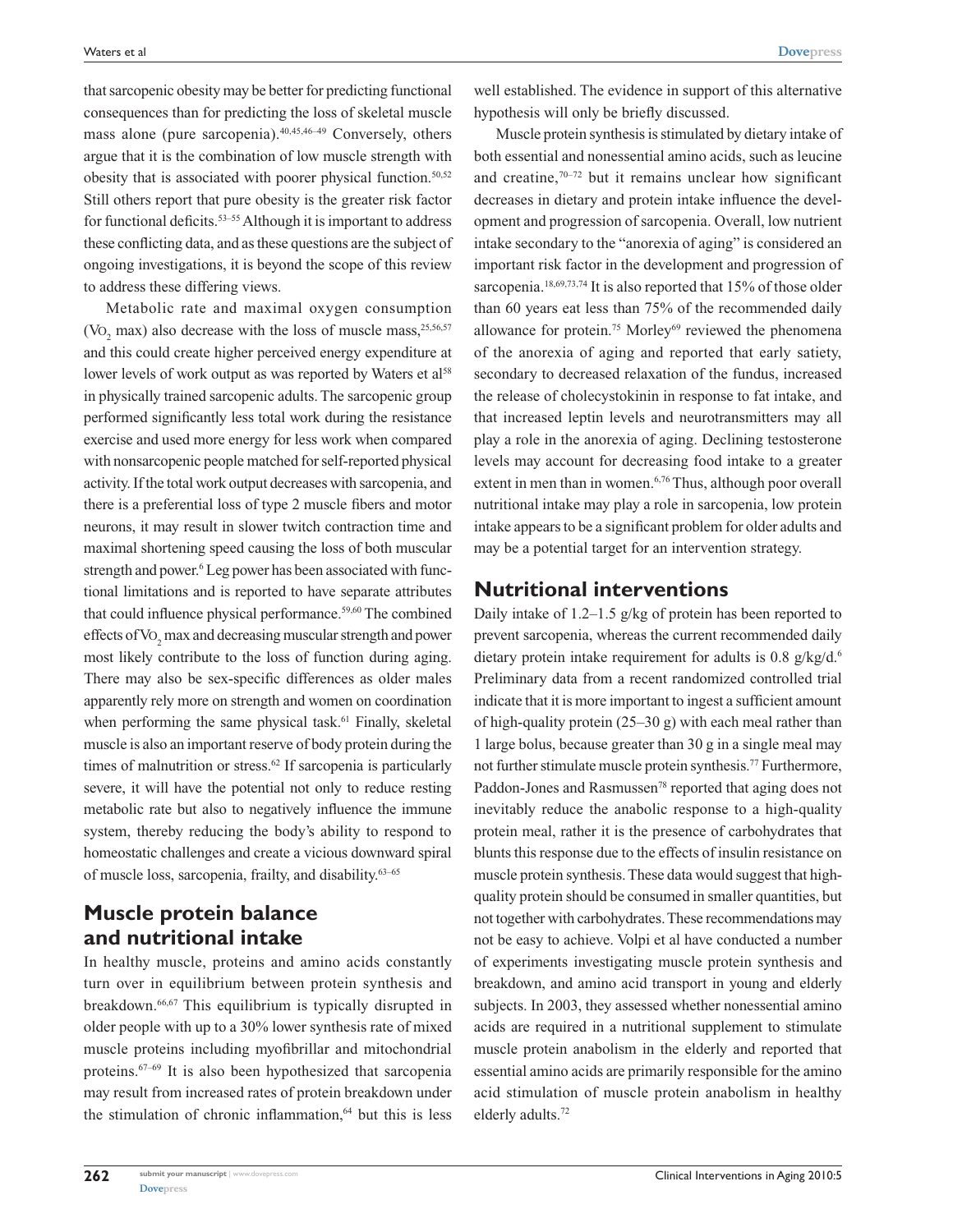that sarcopenic obesity may be better for predicting functional consequences than for predicting the loss of skeletal muscle mass alone (pure sarcopenia).40,45,46–49 Conversely, others argue that it is the combination of low muscle strength with obesity that is associated with poorer physical function.<sup>50,52</sup> Still others report that pure obesity is the greater risk factor for functional deficits.53–55 Although it is important to address these conflicting data, and as these questions are the subject of ongoing investigations, it is beyond the scope of this review to address these differing views.

Metabolic rate and maximal oxygen consumption ( $\text{Vo}_2$  max) also decrease with the loss of muscle mass,  $^{25,56,57}$ and this could create higher perceived energy expenditure at lower levels of work output as was reported by Waters et al<sup>58</sup> in physically trained sarcopenic adults. The sarcopenic group performed significantly less total work during the resistance exercise and used more energy for less work when compared with nonsarcopenic people matched for self-reported physical activity. If the total work output decreases with sarcopenia, and there is a preferential loss of type 2 muscle fibers and motor neurons, it may result in slower twitch contraction time and maximal shortening speed causing the loss of both muscular strength and power.<sup>6</sup> Leg power has been associated with functional limitations and is reported to have separate attributes that could influence physical performance.<sup>59,60</sup> The combined effects of  $\mathrm{Vo}_2$  max and decreasing muscular strength and power most likely contribute to the loss of function during aging. There may also be sex-specific differences as older males apparently rely more on strength and women on coordination when performing the same physical task.<sup>61</sup> Finally, skeletal muscle is also an important reserve of body protein during the times of malnutrition or stress.<sup>62</sup> If sarcopenia is particularly severe, it will have the potential not only to reduce resting metabolic rate but also to negatively influence the immune system, thereby reducing the body's ability to respond to homeostatic challenges and create a vicious downward spiral of muscle loss, sarcopenia, frailty, and disability.63–65

### **Muscle protein balance and nutritional intake**

In healthy muscle, proteins and amino acids constantly turn over in equilibrium between protein synthesis and breakdown.66,67 This equilibrium is typically disrupted in older people with up to a 30% lower synthesis rate of mixed muscle proteins including myofibrillar and mitochondrial proteins.67–69 It is also been hypothesized that sarcopenia may result from increased rates of protein breakdown under the stimulation of chronic inflammation,<sup>64</sup> but this is less

well established. The evidence in support of this alternative hypothesis will only be briefly discussed.

Muscle protein synthesis is stimulated by dietary intake of both essential and nonessential amino acids, such as leucine and creatine, $70-72$  but it remains unclear how significant decreases in dietary and protein intake influence the development and progression of sarcopenia. Overall, low nutrient intake secondary to the "anorexia of aging" is considered an important risk factor in the development and progression of sarcopenia.<sup>18,69,73,74</sup> It is also reported that 15% of those older than 60 years eat less than 75% of the recommended daily allowance for protein.<sup>75</sup> Morley<sup>69</sup> reviewed the phenomena of the anorexia of aging and reported that early satiety, secondary to decreased relaxation of the fundus, increased the release of cholecystokinin in response to fat intake, and that increased leptin levels and neurotransmitters may all play a role in the anorexia of aging. Declining testosterone levels may account for decreasing food intake to a greater extent in men than in women.<sup>6,76</sup> Thus, although poor overall nutritional intake may play a role in sarcopenia, low protein intake appears to be a significant problem for older adults and may be a potential target for an intervention strategy.

### **Nutritional interventions**

Daily intake of 1.2–1.5 g/kg of protein has been reported to prevent sarcopenia, whereas the current recommended daily dietary protein intake requirement for adults is  $0.8 \frac{\text{g}}{\text{kg}} / \text{d}$ .<sup>6</sup> Preliminary data from a recent randomized controlled trial indicate that it is more important to ingest a sufficient amount of high-quality protein (25–30 g) with each meal rather than 1 large bolus, because greater than 30 g in a single meal may not further stimulate muscle protein synthesis.77 Furthermore, Paddon-Jones and Rasmussen<sup>78</sup> reported that aging does not inevitably reduce the anabolic response to a high-quality protein meal, rather it is the presence of carbohydrates that blunts this response due to the effects of insulin resistance on muscle protein synthesis. These data would suggest that highquality protein should be consumed in smaller quantities, but not together with carbohydrates. These recommendations may not be easy to achieve. Volpi et al have conducted a number of experiments investigating muscle protein synthesis and breakdown, and amino acid transport in young and elderly subjects. In 2003, they assessed whether nonessential amino acids are required in a nutritional supplement to stimulate muscle protein anabolism in the elderly and reported that essential amino acids are primarily responsible for the amino acid stimulation of muscle protein anabolism in healthy elderly adults.72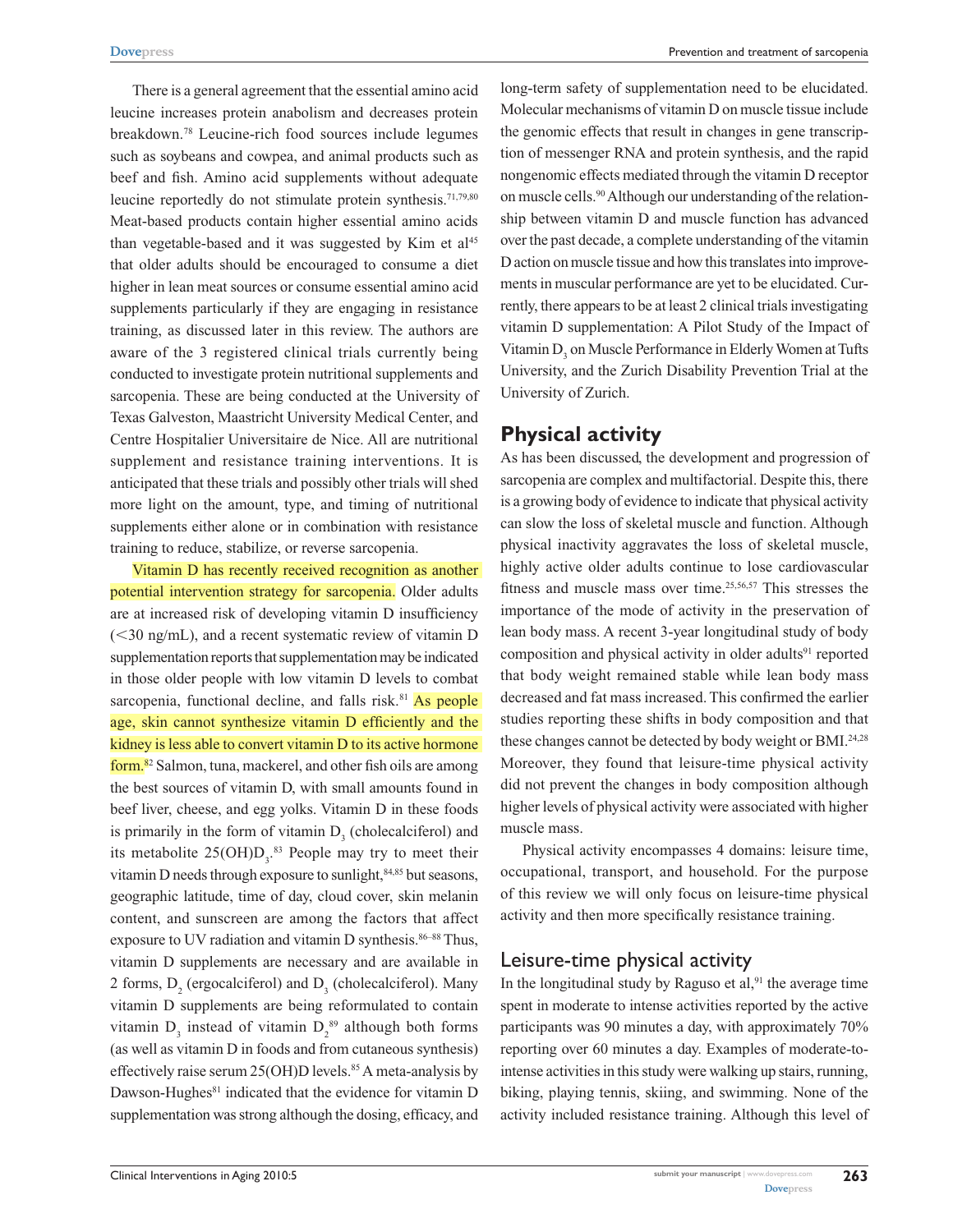There is a general agreement that the essential amino acid leucine increases protein anabolism and decreases protein breakdown.78 Leucine-rich food sources include legumes such as soybeans and cowpea, and animal products such as beef and fish. Amino acid supplements without adequate leucine reportedly do not stimulate protein synthesis.<sup>71,79,80</sup> Meat-based products contain higher essential amino acids than vegetable-based and it was suggested by Kim et  $al<sup>45</sup>$ that older adults should be encouraged to consume a diet higher in lean meat sources or consume essential amino acid supplements particularly if they are engaging in resistance training, as discussed later in this review. The authors are aware of the 3 registered clinical trials currently being conducted to investigate protein nutritional supplements and sarcopenia. These are being conducted at the University of Texas Galveston, Maastricht University Medical Center, and Centre Hospitalier Universitaire de Nice. All are nutritional supplement and resistance training interventions. It is anticipated that these trials and possibly other trials will shed more light on the amount, type, and timing of nutritional supplements either alone or in combination with resistance training to reduce, stabilize, or reverse sarcopenia.

Vitamin D has recently received recognition as another potential intervention strategy for sarcopenia. Older adults are at increased risk of developing vitamin D insufficiency  $(<$ 30 ng/mL), and a recent systematic review of vitamin D supplementation reports that supplementation may be indicated in those older people with low vitamin D levels to combat sarcopenia, functional decline, and falls risk.<sup>81</sup> As people age, skin cannot synthesize vitamin D efficiently and the kidney is less able to convert vitamin D to its active hormone form.82 Salmon, tuna, mackerel, and other fish oils are among the best sources of vitamin D, with small amounts found in beef liver, cheese, and egg yolks. Vitamin D in these foods is primarily in the form of vitamin  $D_3$  (cholecalciferol) and its metabolite  $25(OH)D_3$ .<sup>83</sup> People may try to meet their vitamin D needs through exposure to sunlight, $84,85$  but seasons, geographic latitude, time of day, cloud cover, skin melanin content, and sunscreen are among the factors that affect exposure to UV radiation and vitamin D synthesis.<sup>86–88</sup> Thus, vitamin D supplements are necessary and are available in 2 forms,  $D_2$  (ergocalciferol) and  $D_3$  (cholecalciferol). Many vitamin D supplements are being reformulated to contain vitamin  $D_3$  instead of vitamin  $D_2^{89}$  although both forms (as well as vitamin D in foods and from cutaneous synthesis) effectively raise serum  $25(OH)D$  levels.<sup>85</sup> A meta-analysis by Dawson-Hughes<sup>81</sup> indicated that the evidence for vitamin D supplementation was strong although the dosing, efficacy, and

long-term safety of supplementation need to be elucidated. Molecular mechanisms of vitamin D on muscle tissue include the genomic effects that result in changes in gene transcription of messenger RNA and protein synthesis, and the rapid nongenomic effects mediated through the vitamin D receptor on muscle cells.90 Although our understanding of the relationship between vitamin D and muscle function has advanced over the past decade, a complete understanding of the vitamin D action on muscle tissue and how this translates into improvements in muscular performance are yet to be elucidated. Currently, there appears to be at least 2 clinical trials investigating vitamin D supplementation: A Pilot Study of the Impact of Vitamin  $D_3$  on Muscle Performance in Elderly Women at Tufts University, and the Zurich Disability Prevention Trial at the University of Zurich.

### **Physical activity**

As has been discussed, the development and progression of sarcopenia are complex and multifactorial. Despite this, there is a growing body of evidence to indicate that physical activity can slow the loss of skeletal muscle and function. Although physical inactivity aggravates the loss of skeletal muscle, highly active older adults continue to lose cardiovascular fitness and muscle mass over time.<sup>25,56,57</sup> This stresses the importance of the mode of activity in the preservation of lean body mass. A recent 3-year longitudinal study of body composition and physical activity in older adults<sup>91</sup> reported that body weight remained stable while lean body mass decreased and fat mass increased. This confirmed the earlier studies reporting these shifts in body composition and that these changes cannot be detected by body weight or BMI.<sup>24,28</sup> Moreover, they found that leisure-time physical activity did not prevent the changes in body composition although higher levels of physical activity were associated with higher muscle mass.

Physical activity encompasses 4 domains: leisure time, occupational, transport, and household. For the purpose of this review we will only focus on leisure-time physical activity and then more specifically resistance training.

### Leisure-time physical activity

In the longitudinal study by Raguso et  $al$ , $91$  the average time spent in moderate to intense activities reported by the active participants was 90 minutes a day, with approximately 70% reporting over 60 minutes a day. Examples of moderate-tointense activities in this study were walking up stairs, running, biking, playing tennis, skiing, and swimming. None of the activity included resistance training. Although this level of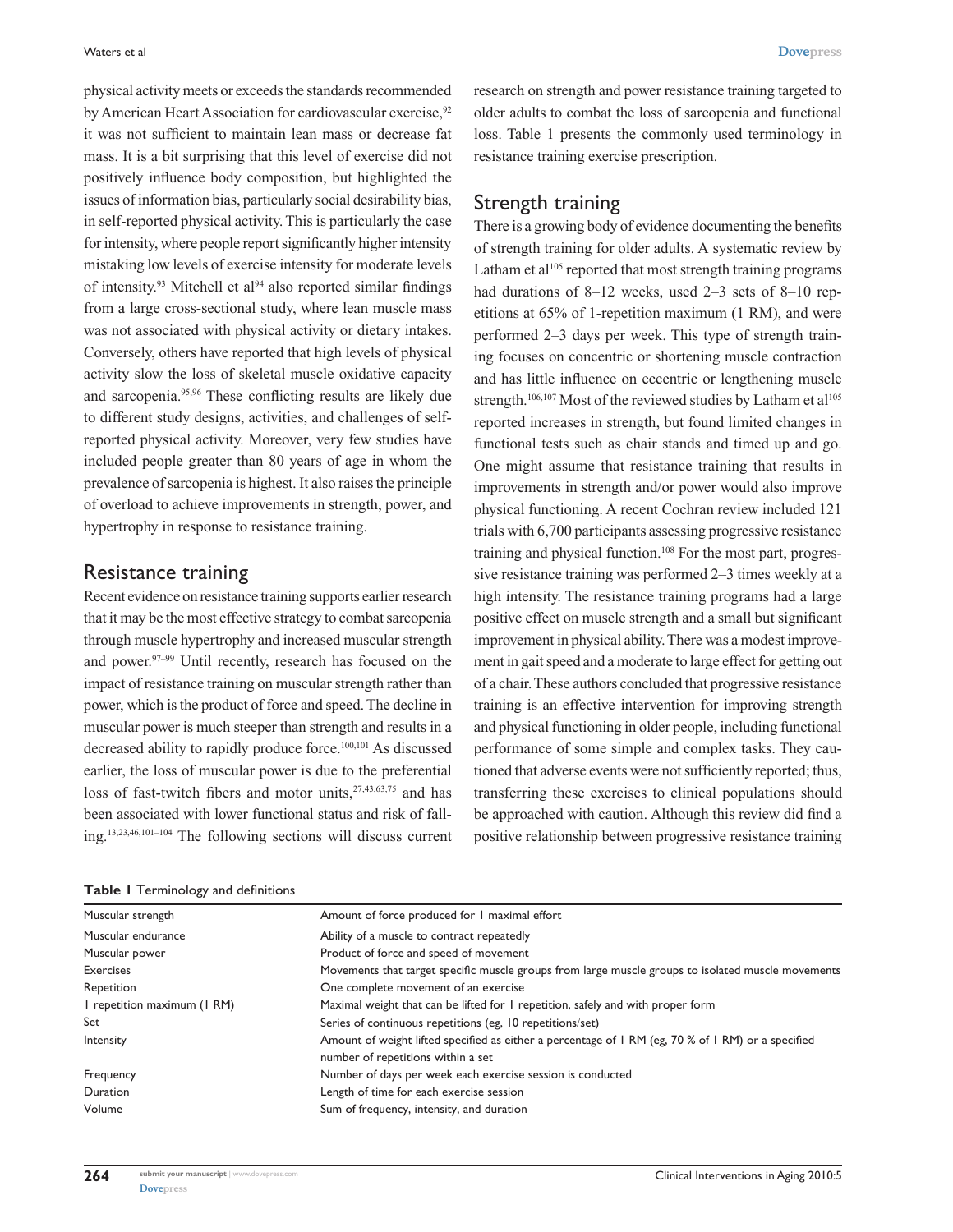physical activity meets or exceeds the standards recommended by American Heart Association for cardiovascular exercise,<sup>92</sup> it was not sufficient to maintain lean mass or decrease fat mass. It is a bit surprising that this level of exercise did not positively influence body composition, but highlighted the issues of information bias, particularly social desirability bias, in self-reported physical activity. This is particularly the case for intensity, where people report significantly higher intensity mistaking low levels of exercise intensity for moderate levels of intensity.<sup>93</sup> Mitchell et al<sup>94</sup> also reported similar findings from a large cross-sectional study, where lean muscle mass was not associated with physical activity or dietary intakes. Conversely, others have reported that high levels of physical activity slow the loss of skeletal muscle oxidative capacity and sarcopenia.95,96 These conflicting results are likely due to different study designs, activities, and challenges of selfreported physical activity. Moreover, very few studies have included people greater than 80 years of age in whom the prevalence of sarcopenia is highest. It also raises the principle of overload to achieve improvements in strength, power, and hypertrophy in response to resistance training.

### Resistance training

Recent evidence on resistance training supports earlier research that it may be the most effective strategy to combat sarcopenia through muscle hypertrophy and increased muscular strength and power.97–99 Until recently, research has focused on the impact of resistance training on muscular strength rather than power, which is the product of force and speed. The decline in muscular power is much steeper than strength and results in a decreased ability to rapidly produce force.100,101 As discussed earlier, the loss of muscular power is due to the preferential loss of fast-twitch fibers and motor units,  $27,43,63,75$  and has been associated with lower functional status and risk of falling.13,23,46,101–104 The following sections will discuss current

|  |  |  |  |  | Table I Terminology and definitions |
|--|--|--|--|--|-------------------------------------|
|--|--|--|--|--|-------------------------------------|

research on strength and power resistance training targeted to older adults to combat the loss of sarcopenia and functional loss. Table 1 presents the commonly used terminology in resistance training exercise prescription.

#### Strength training

There is a growing body of evidence documenting the benefits of strength training for older adults. A systematic review by Latham et  $a$ <sup>105</sup> reported that most strength training programs had durations of 8–12 weeks, used 2–3 sets of 8–10 repetitions at 65% of 1-repetition maximum (1 RM), and were performed 2–3 days per week. This type of strength training focuses on concentric or shortening muscle contraction and has little influence on eccentric or lengthening muscle strength.<sup>106,107</sup> Most of the reviewed studies by Latham et al<sup>105</sup> reported increases in strength, but found limited changes in functional tests such as chair stands and timed up and go. One might assume that resistance training that results in improvements in strength and/or power would also improve physical functioning. A recent Cochran review included 121 trials with 6,700 participants assessing progressive resistance training and physical function.<sup>108</sup> For the most part, progressive resistance training was performed 2–3 times weekly at a high intensity. The resistance training programs had a large positive effect on muscle strength and a small but significant improvement in physical ability. There was a modest improvement in gait speed and a moderate to large effect for getting out of a chair. These authors concluded that progressive resistance training is an effective intervention for improving strength and physical functioning in older people, including functional performance of some simple and complex tasks. They cautioned that adverse events were not sufficiently reported; thus, transferring these exercises to clinical populations should be approached with caution. Although this review did find a positive relationship between progressive resistance training

| Muscular strength           | Amount of force produced for I maximal effort                                                      |  |  |  |
|-----------------------------|----------------------------------------------------------------------------------------------------|--|--|--|
| Muscular endurance          | Ability of a muscle to contract repeatedly                                                         |  |  |  |
| Muscular power              | Product of force and speed of movement                                                             |  |  |  |
| <b>Exercises</b>            | Movements that target specific muscle groups from large muscle groups to isolated muscle movements |  |  |  |
| Repetition                  | One complete movement of an exercise                                                               |  |  |  |
| I repetition maximum (I RM) | Maximal weight that can be lifted for I repetition, safely and with proper form                    |  |  |  |
| Set                         | Series of continuous repetitions (eg, 10 repetitions/set)                                          |  |  |  |
| Intensity                   | Amount of weight lifted specified as either a percentage of 1 RM (eg, 70 % of 1 RM) or a specified |  |  |  |
|                             | number of repetitions within a set                                                                 |  |  |  |
| Frequency                   | Number of days per week each exercise session is conducted                                         |  |  |  |
| Duration                    | Length of time for each exercise session                                                           |  |  |  |
| Volume                      | Sum of frequency, intensity, and duration                                                          |  |  |  |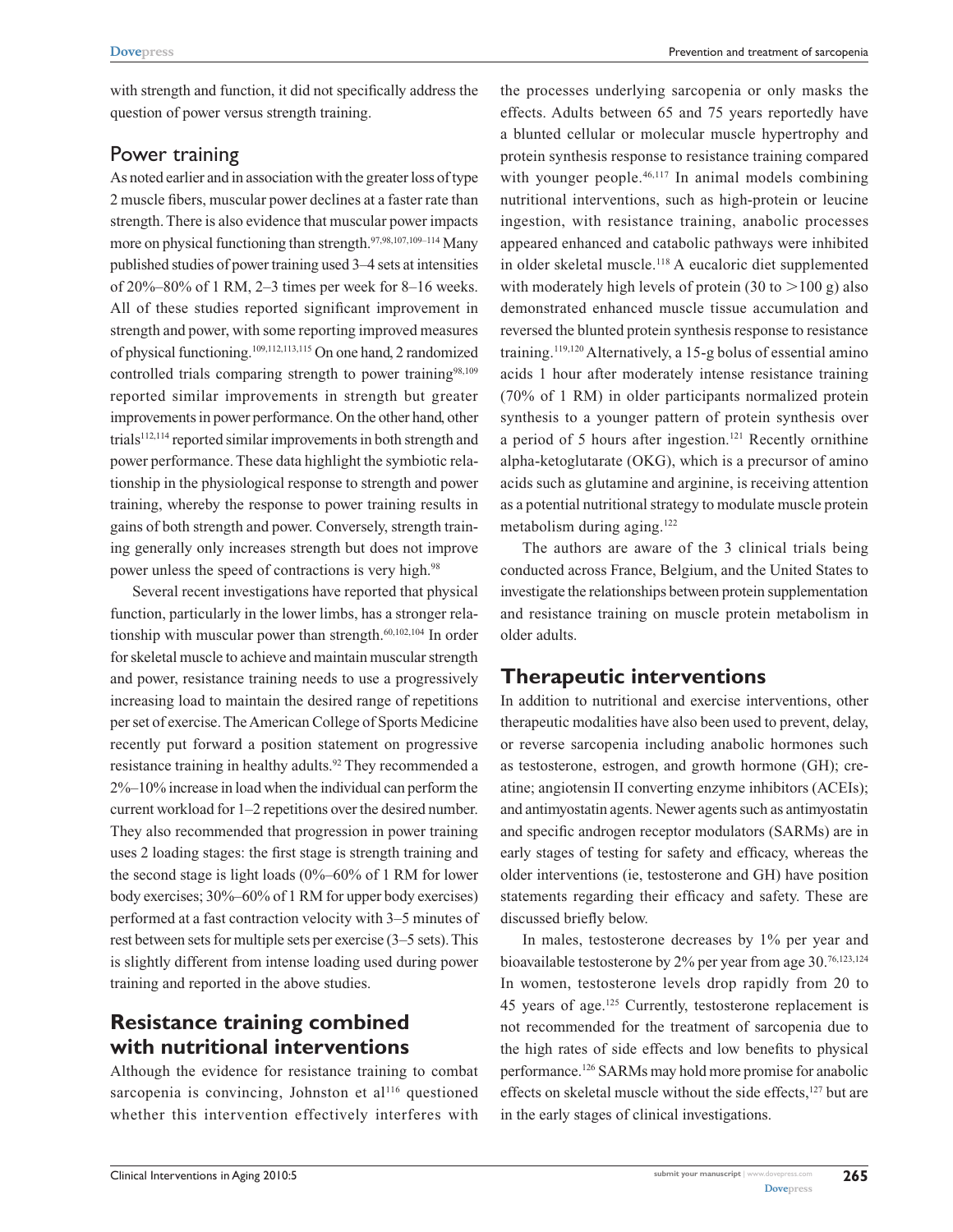with strength and function, it did not specifically address the question of power versus strength training.

### Power training

As noted earlier and in association with the greater loss of type 2 muscle fibers, muscular power declines at a faster rate than strength. There is also evidence that muscular power impacts more on physical functioning than strength.<sup>97,98,107,109–114</sup> Many published studies of power training used 3–4 sets at intensities of 20%–80% of 1 RM, 2–3 times per week for 8–16 weeks. All of these studies reported significant improvement in strength and power, with some reporting improved measures of physical functioning.109,112,113,115 On one hand, 2 randomized controlled trials comparing strength to power training<sup>98,109</sup> reported similar improvements in strength but greater improvements in power performance. On the other hand, other  $trials<sup>112,114</sup>$  reported similar improvements in both strength and power performance. These data highlight the symbiotic relationship in the physiological response to strength and power training, whereby the response to power training results in gains of both strength and power. Conversely, strength training generally only increases strength but does not improve power unless the speed of contractions is very high.<sup>98</sup>

Several recent investigations have reported that physical function, particularly in the lower limbs, has a stronger relationship with muscular power than strength.60,102,104 In order for skeletal muscle to achieve and maintain muscular strength and power, resistance training needs to use a progressively increasing load to maintain the desired range of repetitions per set of exercise. The American College of Sports Medicine recently put forward a position statement on progressive resistance training in healthy adults.<sup>92</sup> They recommended a 2%–10% increase in load when the individual can perform the current workload for 1–2 repetitions over the desired number. They also recommended that progression in power training uses 2 loading stages: the first stage is strength training and the second stage is light loads  $(0\%-60\% \text{ of } 1 \text{ RM for lower})$ body exercises; 30%–60% of 1 RM for upper body exercises) performed at a fast contraction velocity with 3–5 minutes of rest between sets for multiple sets per exercise (3–5 sets). This is slightly different from intense loading used during power training and reported in the above studies.

# **Resistance training combined with nutritional interventions**

Although the evidence for resistance training to combat sarcopenia is convincing, Johnston et  $al<sup>116</sup>$  questioned whether this intervention effectively interferes with

the processes underlying sarcopenia or only masks the effects. Adults between 65 and 75 years reportedly have a blunted cellular or molecular muscle hypertrophy and protein synthesis response to resistance training compared with younger people.<sup>46,117</sup> In animal models combining nutritional interventions, such as high-protein or leucine ingestion, with resistance training, anabolic processes appeared enhanced and catabolic pathways were inhibited in older skeletal muscle.118 A eucaloric diet supplemented with moderately high levels of protein (30 to  $>100$  g) also demonstrated enhanced muscle tissue accumulation and reversed the blunted protein synthesis response to resistance training.119,120 Alternatively, a 15-g bolus of essential amino acids 1 hour after moderately intense resistance training (70% of 1 RM) in older participants normalized protein synthesis to a younger pattern of protein synthesis over a period of 5 hours after ingestion.<sup>121</sup> Recently ornithine alpha-ketoglutarate (OKG), which is a precursor of amino acids such as glutamine and arginine, is receiving attention as a potential nutritional strategy to modulate muscle protein metabolism during aging.122

The authors are aware of the 3 clinical trials being conducted across France, Belgium, and the United States to investigate the relationships between protein supplementation and resistance training on muscle protein metabolism in older adults.

### **Therapeutic interventions**

In addition to nutritional and exercise interventions, other therapeutic modalities have also been used to prevent, delay, or reverse sarcopenia including anabolic hormones such as testosterone, estrogen, and growth hormone (GH); creatine; angiotensin II converting enzyme inhibitors (ACEIs); and antimyostatin agents. Newer agents such as antimyostatin and specific androgen receptor modulators (SARMs) are in early stages of testing for safety and efficacy, whereas the older interventions (ie, testosterone and GH) have position statements regarding their efficacy and safety. These are discussed briefly below.

In males, testosterone decreases by 1% per year and bioavailable testosterone by 2% per year from age 30.76,123,124 In women, testosterone levels drop rapidly from 20 to 45 years of age.125 Currently, testosterone replacement is not recommended for the treatment of sarcopenia due to the high rates of side effects and low benefits to physical performance.126 SARMs may hold more promise for anabolic effects on skeletal muscle without the side effects,<sup>127</sup> but are in the early stages of clinical investigations.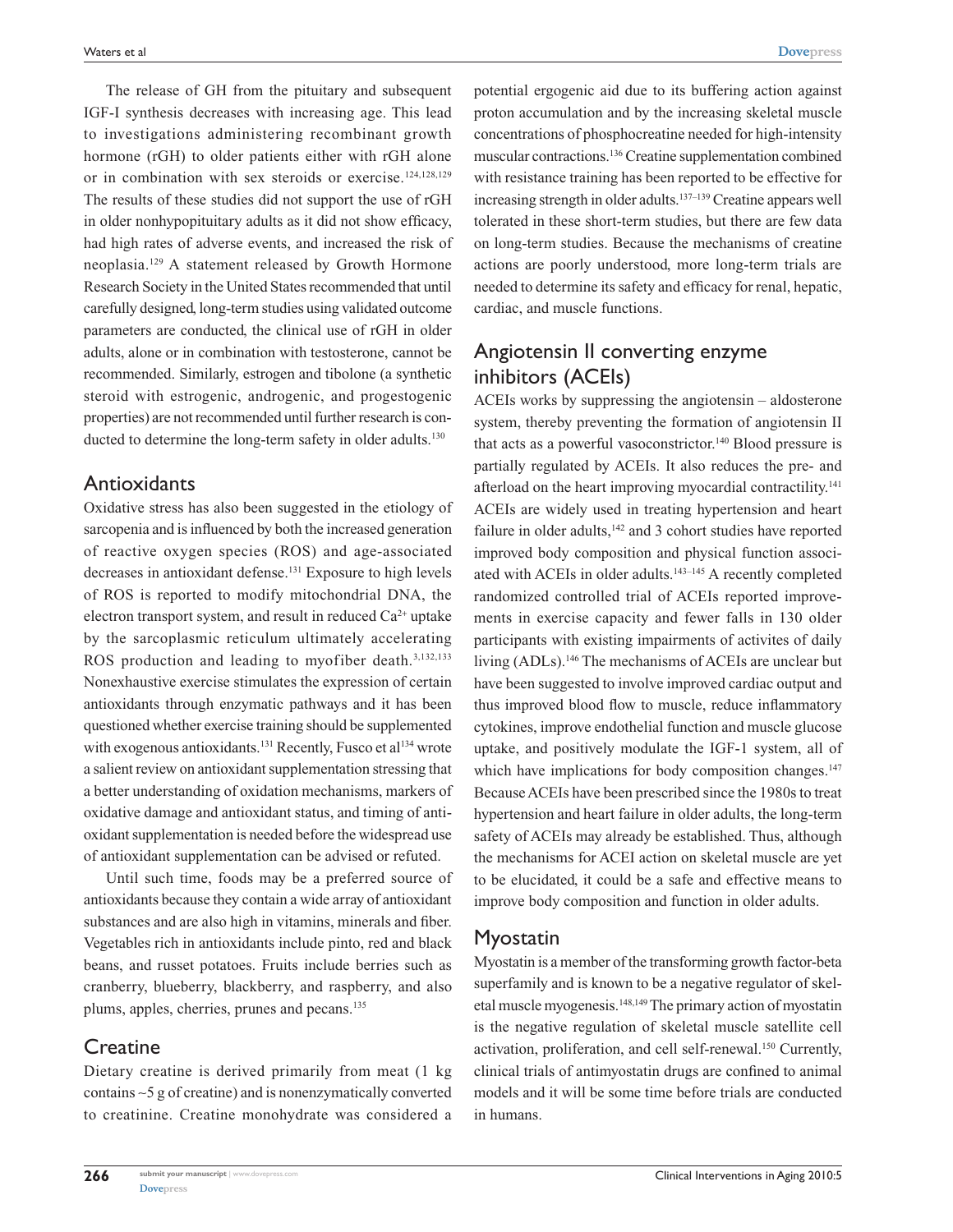The release of GH from the pituitary and subsequent IGF-I synthesis decreases with increasing age. This lead to investigations administering recombinant growth hormone (rGH) to older patients either with rGH alone or in combination with sex steroids or exercise.124,128,129 The results of these studies did not support the use of rGH in older nonhypopituitary adults as it did not show efficacy, had high rates of adverse events, and increased the risk of neoplasia.129 A statement released by Growth Hormone Research Society in the United States recommended that until carefully designed, long-term studies using validated outcome parameters are conducted, the clinical use of rGH in older adults, alone or in combination with testosterone, cannot be recommended. Similarly, estrogen and tibolone (a synthetic steroid with estrogenic, androgenic, and progestogenic properties) are not recommended until further research is conducted to determine the long-term safety in older adults.<sup>130</sup>

### **Antioxidants**

Oxidative stress has also been suggested in the etiology of sarcopenia and is influenced by both the increased generation of reactive oxygen species (ROS) and age-associated decreases in antioxidant defense.131 Exposure to high levels of ROS is reported to modify mitochondrial DNA, the electron transport system, and result in reduced  $Ca<sup>2+</sup>$  uptake by the sarcoplasmic reticulum ultimately accelerating ROS production and leading to myofiber death.<sup>3,132,133</sup> Nonexhaustive exercise stimulates the expression of certain antioxidants through enzymatic pathways and it has been questioned whether exercise training should be supplemented with exogenous antioxidants.<sup>131</sup> Recently, Fusco et al<sup>134</sup> wrote a salient review on antioxidant supplementation stressing that a better understanding of oxidation mechanisms, markers of oxidative damage and antioxidant status, and timing of antioxidant supplementation is needed before the widespread use of antioxidant supplementation can be advised or refuted.

Until such time, foods may be a preferred source of antioxidants because they contain a wide array of antioxidant substances and are also high in vitamins, minerals and fiber. Vegetables rich in antioxidants include pinto, red and black beans, and russet potatoes. Fruits include berries such as cranberry, blueberry, blackberry, and raspberry, and also plums, apples, cherries, prunes and pecans.135

#### **Creatine**

Dietary creatine is derived primarily from meat (1 kg contains ∼5 g of creatine) and is nonenzymatically converted to creatinine. Creatine monohydrate was considered a potential ergogenic aid due to its buffering action against proton accumulation and by the increasing skeletal muscle concentrations of phosphocreatine needed for high-intensity muscular contractions.136 Creatine supplementation combined with resistance training has been reported to be effective for increasing strength in older adults.137–139 Creatine appears well tolerated in these short-term studies, but there are few data on long-term studies. Because the mechanisms of creatine actions are poorly understood, more long-term trials are needed to determine its safety and efficacy for renal, hepatic, cardiac, and muscle functions.

### Angiotensin II converting enzyme inhibitors (ACEIs)

ACEIs works by suppressing the angiotensin – aldosterone system, thereby preventing the formation of angiotensin II that acts as a powerful vasoconstrictor.<sup>140</sup> Blood pressure is partially regulated by ACEIs. It also reduces the pre- and afterload on the heart improving myocardial contractility.<sup>141</sup> ACEIs are widely used in treating hypertension and heart failure in older adults,<sup>142</sup> and 3 cohort studies have reported improved body composition and physical function associated with ACEIs in older adults.<sup>143–145</sup> A recently completed randomized controlled trial of ACEIs reported improvements in exercise capacity and fewer falls in 130 older participants with existing impairments of activites of daily living (ADLs).146 The mechanisms of ACEIs are unclear but have been suggested to involve improved cardiac output and thus improved blood flow to muscle, reduce inflammatory cytokines, improve endothelial function and muscle glucose uptake, and positively modulate the IGF-1 system, all of which have implications for body composition changes.<sup>147</sup> Because ACEIs have been prescribed since the 1980s to treat hypertension and heart failure in older adults, the long-term safety of ACEIs may already be established. Thus, although the mechanisms for ACEI action on skeletal muscle are yet to be elucidated, it could be a safe and effective means to improve body composition and function in older adults.

#### Myostatin

Myostatin is a member of the transforming growth factor-beta superfamily and is known to be a negative regulator of skeletal muscle myogenesis.148,149 The primary action of myostatin is the negative regulation of skeletal muscle satellite cell activation, proliferation, and cell self-renewal.150 Currently, clinical trials of antimyostatin drugs are confined to animal models and it will be some time before trials are conducted in humans.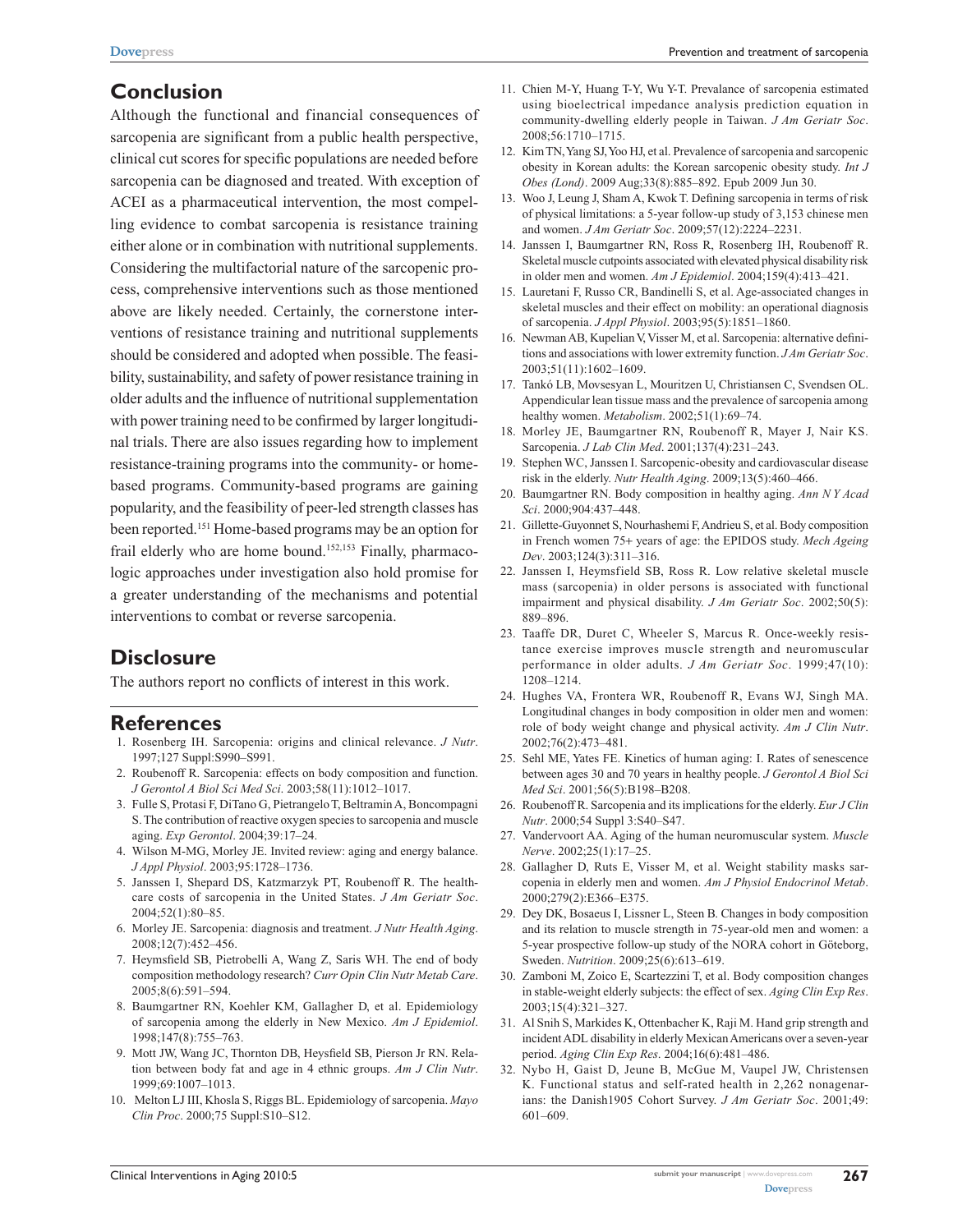# **Conclusion**

Although the functional and financial consequences of sarcopenia are significant from a public health perspective, clinical cut scores for specific populations are needed before sarcopenia can be diagnosed and treated. With exception of ACEI as a pharmaceutical intervention, the most compelling evidence to combat sarcopenia is resistance training either alone or in combination with nutritional supplements. Considering the multifactorial nature of the sarcopenic process, comprehensive interventions such as those mentioned above are likely needed. Certainly, the cornerstone interventions of resistance training and nutritional supplements should be considered and adopted when possible. The feasibility, sustainability, and safety of power resistance training in older adults and the influence of nutritional supplementation with power training need to be confirmed by larger longitudinal trials. There are also issues regarding how to implement resistance-training programs into the community- or homebased programs. Community-based programs are gaining popularity, and the feasibility of peer-led strength classes has been reported.151 Home-based programs may be an option for frail elderly who are home bound.<sup>152,153</sup> Finally, pharmacologic approaches under investigation also hold promise for a greater understanding of the mechanisms and potential interventions to combat or reverse sarcopenia.

# **Disclosure**

The authors report no conflicts of interest in this work.

#### **References**

- 1. Rosenberg IH. Sarcopenia: origins and clinical relevance. *J Nutr*. 1997;127 Suppl:S990–S991.
- 2. Roubenoff R. Sarcopenia: effects on body composition and function. *J Gerontol A Biol Sci Med Sci*. 2003;58(11):1012–1017.
- 3. Fulle S, Protasi F, DiTano G, Pietrangelo T, Beltramin A, Boncompagni S. The contribution of reactive oxygen species to sarcopenia and muscle aging. *Exp Gerontol*. 2004;39:17–24.
- 4. Wilson M-MG, Morley JE. Invited review: aging and energy balance. *J Appl Physiol*. 2003;95:1728–1736.
- 5. Janssen I, Shepard DS, Katzmarzyk PT, Roubenoff R. The healthcare costs of sarcopenia in the United States. *J Am Geriatr Soc*. 2004;52(1):80–85.
- 6. Morley JE. Sarcopenia: diagnosis and treatment. *J Nutr Health Aging*. 2008;12(7):452–456.
- 7. Heymsfield SB, Pietrobelli A, Wang Z, Saris WH. The end of body composition methodology research? *Curr Opin Clin Nutr Metab Care*. 2005;8(6):591–594.
- 8. Baumgartner RN, Koehler KM, Gallagher D, et al. Epidemiology of sarcopenia among the elderly in New Mexico. *Am J Epidemiol*. 1998;147(8):755–763.
- 9. Mott JW, Wang JC, Thornton DB, Heysfield SB, Pierson Jr RN. Relation between body fat and age in 4 ethnic groups. *Am J Clin Nutr*. 1999;69:1007–1013.
- 10. Melton LJ III, Khosla S, Riggs BL. Epidemiology of sarcopenia. *Mayo Clin Proc*. 2000;75 Suppl:S10–S12.
- 11. Chien M-Y, Huang T-Y, Wu Y-T. Prevalance of sarcopenia estimated using bioelectrical impedance analysis prediction equation in community-dwelling elderly people in Taiwan. *J Am Geriatr Soc*. 2008;56:1710–1715.
- 12. Kim TN, Yang SJ, Yoo HJ, et al. Prevalence of sarcopenia and sarcopenic obesity in Korean adults: the Korean sarcopenic obesity study. *Int J Obes (Lond)*. 2009 Aug;33(8):885–892. Epub 2009 Jun 30.
- 13. Woo J, Leung J, Sham A, Kwok T. Defining sarcopenia in terms of risk of physical limitations: a 5-year follow-up study of 3,153 chinese men and women. *J Am Geriatr Soc*. 2009;57(12):2224–2231.
- 14. Janssen I, Baumgartner RN, Ross R, Rosenberg IH, Roubenoff R. Skeletal muscle cutpoints associated with elevated physical disability risk in older men and women. *Am J Epidemiol*. 2004;159(4):413–421.
- 15. Lauretani F, Russo CR, Bandinelli S, et al. Age-associated changes in skeletal muscles and their effect on mobility: an operational diagnosis of sarcopenia. *J Appl Physiol*. 2003;95(5):1851–1860.
- 16. Newman AB, Kupelian V, Visser M, et al. Sarcopenia: alternative definitions and associations with lower extremity function. *J Am Geriatr Soc*. 2003;51(11):1602–1609.
- 17. Tankó LB, Movsesyan L, Mouritzen U, Christiansen C, Svendsen OL. Appendicular lean tissue mass and the prevalence of sarcopenia among healthy women. *Metabolism*. 2002;51(1):69–74.
- 18. Morley JE, Baumgartner RN, Roubenoff R, Mayer J, Nair KS. Sarcopenia. *J Lab Clin Med*. 2001;137(4):231–243.
- 19. Stephen WC, Janssen I. Sarcopenic-obesity and cardiovascular disease risk in the elderly. *Nutr Health Aging*. 2009;13(5):460–466.
- 20. Baumgartner RN. Body composition in healthy aging. *Ann N Y Acad Sci*. 2000;904:437–448.
- 21. Gillette-Guyonnet S, Nourhashemi F, Andrieu S, et al. Body composition in French women 75+ years of age: the EPIDOS study. *Mech Ageing Dev*. 2003;124(3):311–316.
- 22. Janssen I, Heymsfield SB, Ross R. Low relative skeletal muscle mass (sarcopenia) in older persons is associated with functional impairment and physical disability. *J Am Geriatr Soc*. 2002;50(5): 889–896.
- 23. Taaffe DR, Duret C, Wheeler S, Marcus R. Once-weekly resistance exercise improves muscle strength and neuromuscular performance in older adults. *J Am Geriatr Soc*. 1999;47(10): 1208–1214.
- 24. Hughes VA, Frontera WR, Roubenoff R, Evans WJ, Singh MA. Longitudinal changes in body composition in older men and women: role of body weight change and physical activity. *Am J Clin Nutr*. 2002;76(2):473–481.
- 25. Sehl ME, Yates FE. Kinetics of human aging: I. Rates of senescence between ages 30 and 70 years in healthy people. *J Gerontol A Biol Sci Med Sci*. 2001;56(5):B198–B208.
- 26. Roubenoff R. Sarcopenia and its implications for the elderly. *Eur J Clin Nutr*. 2000;54 Suppl 3:S40–S47.
- 27. Vandervoort AA. Aging of the human neuromuscular system. *Muscle Nerve*. 2002;25(1):17–25.
- 28. Gallagher D, Ruts E, Visser M, et al. Weight stability masks sarcopenia in elderly men and women. *Am J Physiol Endocrinol Metab*. 2000;279(2):E366–E375.
- 29. Dey DK, Bosaeus I, Lissner L, Steen B. Changes in body composition and its relation to muscle strength in 75-year-old men and women: a 5-year prospective follow-up study of the NORA cohort in Göteborg, Sweden. *Nutrition*. 2009;25(6):613–619.
- 30. Zamboni M, Zoico E, Scartezzini T, et al. Body composition changes in stable-weight elderly subjects: the effect of sex. *Aging Clin Exp Res*. 2003;15(4):321–327.
- 31. Al Snih S, Markides K, Ottenbacher K, Raji M. Hand grip strength and incident ADL disability in elderly Mexican Americans over a seven-year period. *Aging Clin Exp Res*. 2004;16(6):481–486.
- 32. Nybo H, Gaist D, Jeune B, McGue M, Vaupel JW, Christensen K. Functional status and self-rated health in 2,262 nonagenarians: the Danish1905 Cohort Survey. *J Am Geriatr Soc*. 2001;49: 601–609.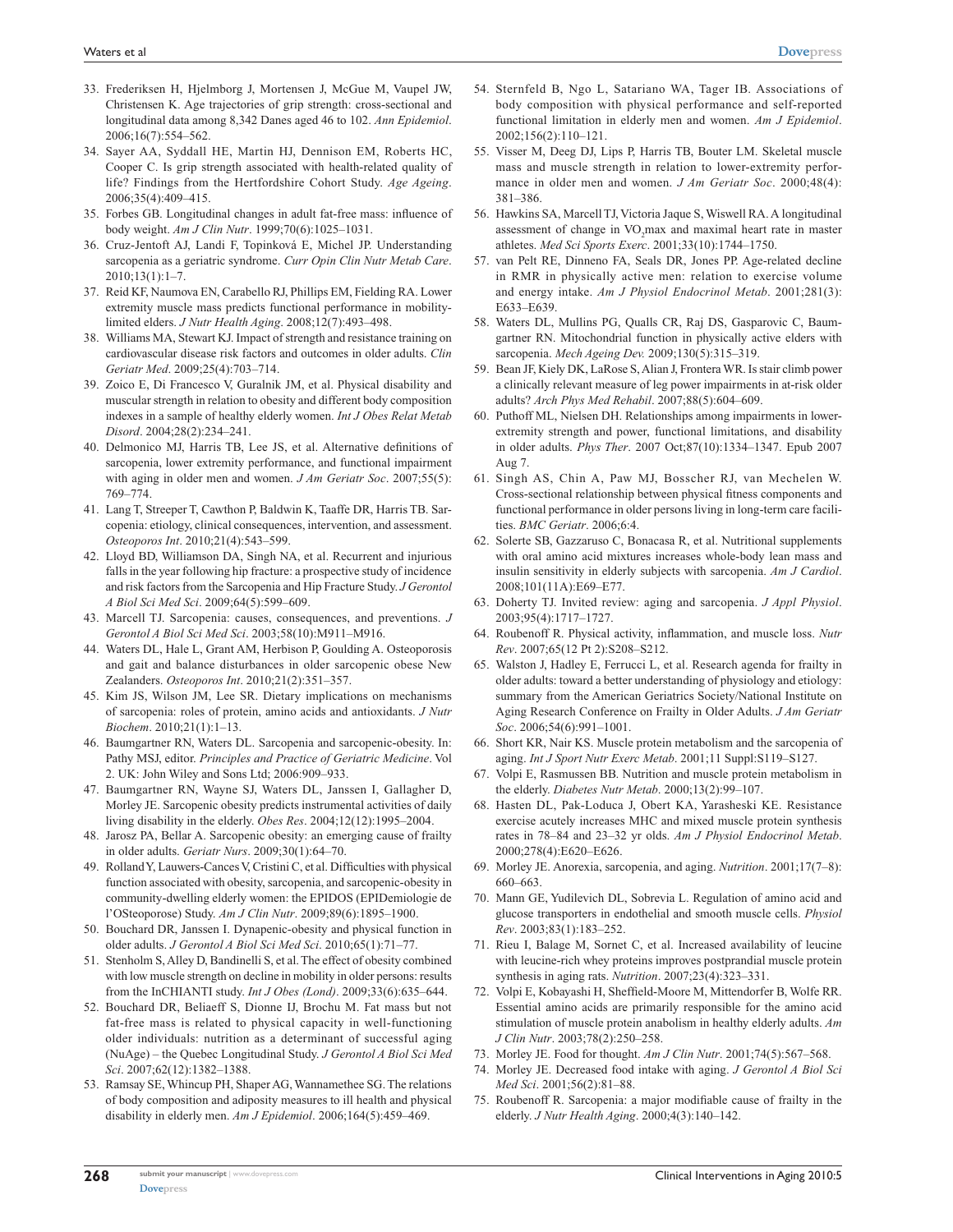- 33. Frederiksen H, Hjelmborg J, Mortensen J, McGue M, Vaupel JW, Christensen K. Age trajectories of grip strength: cross-sectional and longitudinal data among 8,342 Danes aged 46 to 102. *Ann Epidemiol*. 2006;16(7):554–562.
- 34. Sayer AA, Syddall HE, Martin HJ, Dennison EM, Roberts HC, Cooper C. Is grip strength associated with health-related quality of life? Findings from the Hertfordshire Cohort Study. *Age Ageing*. 2006;35(4):409–415.
- 35. Forbes GB. Longitudinal changes in adult fat-free mass: influence of body weight. *Am J Clin Nutr*. 1999;70(6):1025–1031.
- 36. Cruz-Jentoft AJ, Landi F, Topinková E, Michel JP. Understanding sarcopenia as a geriatric syndrome. *Curr Opin Clin Nutr Metab Care*. 2010;13(1):1–7.
- 37. Reid KF, Naumova EN, Carabello RJ, Phillips EM, Fielding RA. Lower extremity muscle mass predicts functional performance in mobilitylimited elders. *J Nutr Health Aging*. 2008;12(7):493–498.
- 38. Williams MA, Stewart KJ. Impact of strength and resistance training on cardiovascular disease risk factors and outcomes in older adults. *Clin Geriatr Med*. 2009;25(4):703–714.
- 39. Zoico E, Di Francesco V, Guralnik JM, et al. Physical disability and muscular strength in relation to obesity and different body composition indexes in a sample of healthy elderly women. *Int J Obes Relat Metab Disord*. 2004;28(2):234–241.
- 40. Delmonico MJ, Harris TB, Lee JS, et al. Alternative definitions of sarcopenia, lower extremity performance, and functional impairment with aging in older men and women. *J Am Geriatr Soc*. 2007;55(5): 769–774.
- 41. Lang T, Streeper T, Cawthon P, Baldwin K, Taaffe DR, Harris TB. Sarcopenia: etiology, clinical consequences, intervention, and assessment. *Osteoporos Int*. 2010;21(4):543–599.
- 42. Lloyd BD, Williamson DA, Singh NA, et al. Recurrent and injurious falls in the year following hip fracture: a prospective study of incidence and risk factors from the Sarcopenia and Hip Fracture Study. *J Gerontol A Biol Sci Med Sci*. 2009;64(5):599–609.
- 43. Marcell TJ. Sarcopenia: causes, consequences, and preventions. *J Gerontol A Biol Sci Med Sci*. 2003;58(10):M911–M916.
- 44. Waters DL, Hale L, Grant AM, Herbison P, Goulding A. Osteoporosis and gait and balance disturbances in older sarcopenic obese New Zealanders. *Osteoporos Int*. 2010;21(2):351–357.
- 45. Kim JS, Wilson JM, Lee SR. Dietary implications on mechanisms of sarcopenia: roles of protein, amino acids and antioxidants. *J Nutr Biochem*. 2010;21(1):1–13.
- 46. Baumgartner RN, Waters DL. Sarcopenia and sarcopenic-obesity. In: Pathy MSJ, editor. *Principles and Practice of Geriatric Medicine*. Vol 2. UK: John Wiley and Sons Ltd; 2006:909–933.
- 47. Baumgartner RN, Wayne SJ, Waters DL, Janssen I, Gallagher D, Morley JE. Sarcopenic obesity predicts instrumental activities of daily living disability in the elderly. *Obes Res*. 2004;12(12):1995–2004.
- 48. Jarosz PA, Bellar A. Sarcopenic obesity: an emerging cause of frailty in older adults. *Geriatr Nurs*. 2009;30(1):64–70.
- 49. Rolland Y, Lauwers-Cances V, Cristini C, et al. Difficulties with physical function associated with obesity, sarcopenia, and sarcopenic-obesity in community-dwelling elderly women: the EPIDOS (EPIDemiologie de l'OSteoporose) Study. *Am J Clin Nutr*. 2009;89(6):1895–1900.
- 50. Bouchard DR, Janssen I. Dynapenic-obesity and physical function in older adults. *J Gerontol A Biol Sci Med Sci*. 2010;65(1):71–77.
- 51. Stenholm S, Alley D, Bandinelli S, et al. The effect of obesity combined with low muscle strength on decline in mobility in older persons: results from the InCHIANTI study. *Int J Obes (Lond)*. 2009;33(6):635–644.
- 52. Bouchard DR, Beliaeff S, Dionne IJ, Brochu M. Fat mass but not fat-free mass is related to physical capacity in well-functioning older individuals: nutrition as a determinant of successful aging (NuAge) – the Quebec Longitudinal Study. *J Gerontol A Biol Sci Med Sci*. 2007;62(12):1382–1388.
- 53. Ramsay SE, Whincup PH, Shaper AG, Wannamethee SG. The relations of body composition and adiposity measures to ill health and physical disability in elderly men. *Am J Epidemiol*. 2006;164(5):459–469.
- 54. Sternfeld B, Ngo L, Satariano WA, Tager IB. Associations of body composition with physical performance and self-reported functional limitation in elderly men and women. *Am J Epidemiol*. 2002;156(2):110–121.
- 55. Visser M, Deeg DJ, Lips P, Harris TB, Bouter LM. Skeletal muscle mass and muscle strength in relation to lower-extremity performance in older men and women. *J Am Geriatr Soc*. 2000;48(4): 381–386.
- 56. Hawkins SA, Marcell TJ, Victoria Jaque S, Wiswell RA. A longitudinal assessment of change in VO<sub>2</sub>max and maximal heart rate in master athletes. *Med Sci Sports Exerc*. 2001;33(10):1744–1750.
- 57. van Pelt RE, Dinneno FA, Seals DR, Jones PP. Age-related decline in RMR in physically active men: relation to exercise volume and energy intake. *Am J Physiol Endocrinol Metab*. 2001;281(3): E633–E639.
- 58. Waters DL, Mullins PG, Qualls CR, Raj DS, Gasparovic C, Baumgartner RN. Mitochondrial function in physically active elders with sarcopenia. *Mech Ageing Dev.* 2009;130(5):315–319.
- 59. Bean JF, Kiely DK, LaRose S, Alian J, Frontera WR. Is stair climb power a clinically relevant measure of leg power impairments in at-risk older adults? *Arch Phys Med Rehabil*. 2007;88(5):604–609.
- 60. Puthoff ML, Nielsen DH. Relationships among impairments in lowerextremity strength and power, functional limitations, and disability in older adults. *Phys Ther*. 2007 Oct;87(10):1334–1347. Epub 2007 Aug 7.
- 61. Singh AS, Chin A, Paw MJ, Bosscher RJ, van Mechelen W. Cross-sectional relationship between physical fitness components and functional performance in older persons living in long-term care facilities. *BMC Geriatr*. 2006;6:4.
- 62. Solerte SB, Gazzaruso C, Bonacasa R, et al. Nutritional supplements with oral amino acid mixtures increases whole-body lean mass and insulin sensitivity in elderly subjects with sarcopenia. *Am J Cardiol*. 2008;101(11A):E69–E77.
- 63. Doherty TJ. Invited review: aging and sarcopenia. *J Appl Physiol*. 2003;95(4):1717–1727.
- 64. Roubenoff R. Physical activity, inflammation, and muscle loss. *Nutr Rev*. 2007;65(12 Pt 2):S208–S212.
- 65. Walston J, Hadley E, Ferrucci L, et al. Research agenda for frailty in older adults: toward a better understanding of physiology and etiology: summary from the American Geriatrics Society/National Institute on Aging Research Conference on Frailty in Older Adults. *J Am Geriatr Soc*. 2006;54(6):991–1001.
- 66. Short KR, Nair KS. Muscle protein metabolism and the sarcopenia of aging. *Int J Sport Nutr Exerc Metab*. 2001;11 Suppl:S119–S127.
- 67. Volpi E, Rasmussen BB. Nutrition and muscle protein metabolism in the elderly. *Diabetes Nutr Metab*. 2000;13(2):99–107.
- 68. Hasten DL, Pak-Loduca J, Obert KA, Yarasheski KE. Resistance exercise acutely increases MHC and mixed muscle protein synthesis rates in 78–84 and 23–32 yr olds. *Am J Physiol Endocrinol Metab*. 2000;278(4):E620–E626.
- 69. Morley JE. Anorexia, sarcopenia, and aging. *Nutrition*. 2001;17(7–8): 660–663.
- 70. Mann GE, Yudilevich DL, Sobrevia L. Regulation of amino acid and glucose transporters in endothelial and smooth muscle cells. *Physiol Rev*. 2003;83(1):183–252.
- 71. Rieu I, Balage M, Sornet C, et al. Increased availability of leucine with leucine-rich whey proteins improves postprandial muscle protein synthesis in aging rats. *Nutrition*. 2007;23(4):323–331.
- 72. Volpi E, Kobayashi H, Sheffield-Moore M, Mittendorfer B, Wolfe RR. Essential amino acids are primarily responsible for the amino acid stimulation of muscle protein anabolism in healthy elderly adults. *Am J Clin Nutr*. 2003;78(2):250–258.
- 73. Morley JE. Food for thought. *Am J Clin Nutr*. 2001;74(5):567–568.
- 74. Morley JE. Decreased food intake with aging. *J Gerontol A Biol Sci Med Sci*. 2001;56(2):81–88.
- 75. Roubenoff R. Sarcopenia: a major modifiable cause of frailty in the elderly. *J Nutr Health Aging*. 2000;4(3):140–142.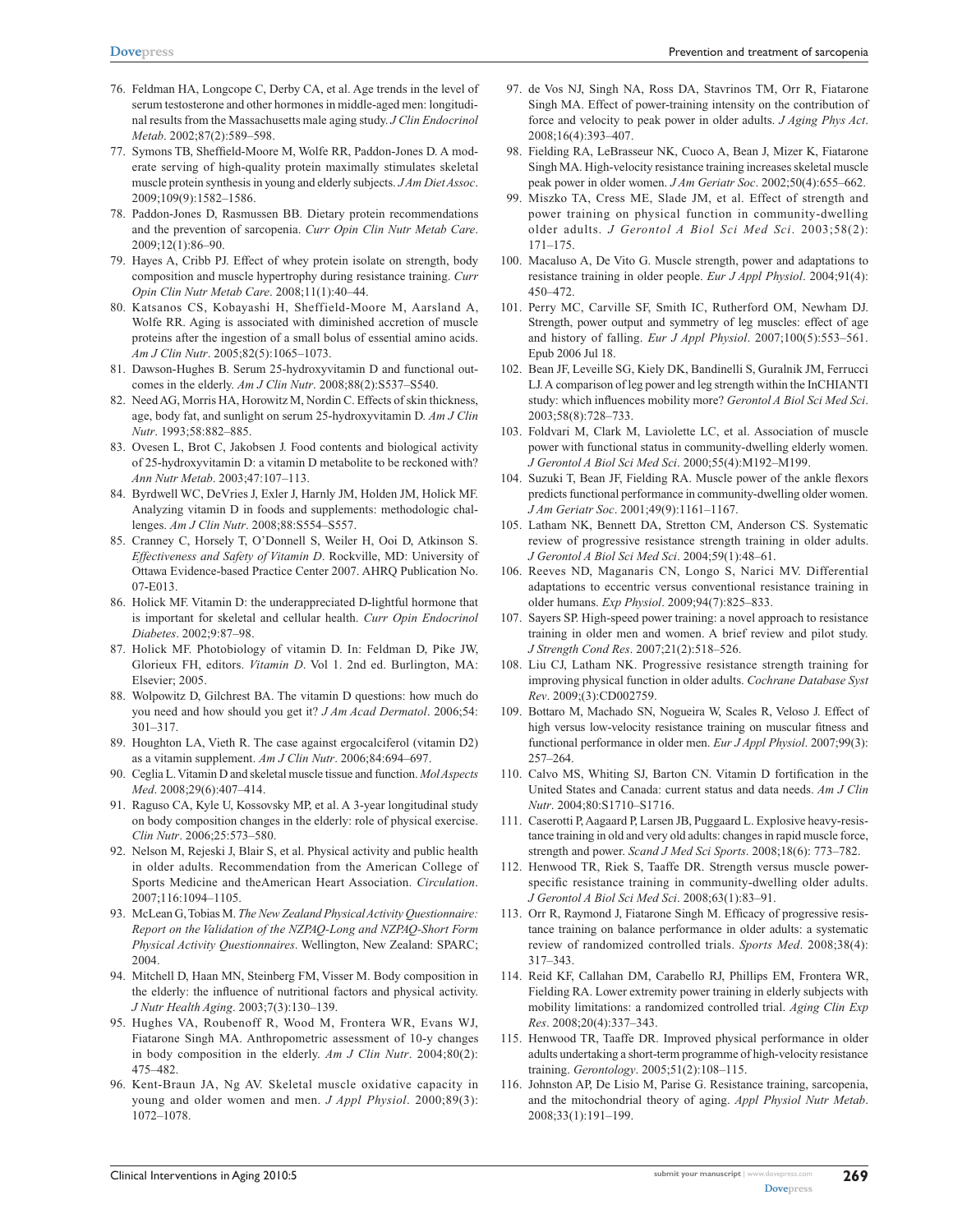- 76. Feldman HA, Longcope C, Derby CA, et al. Age trends in the level of serum testosterone and other hormones in middle-aged men: longitudinal results from the Massachusetts male aging study. *J Clin Endocrinol Metab*. 2002;87(2):589–598.
- 77. Symons TB, Sheffield-Moore M, Wolfe RR, Paddon-Jones D. A moderate serving of high-quality protein maximally stimulates skeletal muscle protein synthesis in young and elderly subjects. *J Am Diet Assoc*. 2009;109(9):1582–1586.
- 78. Paddon-Jones D, Rasmussen BB. Dietary protein recommendations and the prevention of sarcopenia. *Curr Opin Clin Nutr Metab Care*. 2009;12(1):86–90.
- 79. Hayes A, Cribb PJ. Effect of whey protein isolate on strength, body composition and muscle hypertrophy during resistance training. *Curr Opin Clin Nutr Metab Care*. 2008;11(1):40–44.
- 80. Katsanos CS, Kobayashi H, Sheffield-Moore M, Aarsland A, Wolfe RR. Aging is associated with diminished accretion of muscle proteins after the ingestion of a small bolus of essential amino acids. *Am J Clin Nutr*. 2005;82(5):1065–1073.
- 81. Dawson-Hughes B. Serum 25-hydroxyvitamin D and functional outcomes in the elderly. *Am J Clin Nutr*. 2008;88(2):S537–S540.
- 82. Need AG, Morris HA, Horowitz M, Nordin C. Effects of skin thickness, age, body fat, and sunlight on serum 25-hydroxyvitamin D. *Am J Clin Nutr*. 1993;58:882–885.
- 83. Ovesen L, Brot C, Jakobsen J. Food contents and biological activity of 25-hydroxyvitamin D: a vitamin D metabolite to be reckoned with? *Ann Nutr Metab*. 2003;47:107–113.
- 84. Byrdwell WC, DeVries J, Exler J, Harnly JM, Holden JM, Holick MF. Analyzing vitamin D in foods and supplements: methodologic challenges. *Am J Clin Nutr*. 2008;88:S554–S557.
- 85. Cranney C, Horsely T, O'Donnell S, Weiler H, Ooi D, Atkinson S. *Effectiveness and Safety of Vitamin D*. Rockville, MD: University of Ottawa Evidence-based Practice Center 2007. AHRQ Publication No. 07-E013.
- 86. Holick MF. Vitamin D: the underappreciated D-lightful hormone that is important for skeletal and cellular health. *Curr Opin Endocrinol Diabetes*. 2002;9:87–98.
- 87. Holick MF. Photobiology of vitamin D. In: Feldman D, Pike JW, Glorieux FH, editors. *Vitamin D*. Vol 1. 2nd ed. Burlington, MA: Elsevier; 2005.
- 88. Wolpowitz D, Gilchrest BA. The vitamin D questions: how much do you need and how should you get it? *J Am Acad Dermatol*. 2006;54: 301–317.
- 89. Houghton LA, Vieth R. The case against ergocalciferol (vitamin D2) as a vitamin supplement. *Am J Clin Nutr*. 2006;84:694–697.
- 90. Ceglia L. Vitamin D and skeletal muscle tissue and function. *Mol Aspects Med*. 2008;29(6):407–414.
- 91. Raguso CA, Kyle U, Kossovsky MP, et al. A 3-year longitudinal study on body composition changes in the elderly: role of physical exercise. *Clin Nutr*. 2006;25:573–580.
- 92. Nelson M, Rejeski J, Blair S, et al. Physical activity and public health in older adults. Recommendation from the American College of Sports Medicine and theAmerican Heart Association. *Circulation*. 2007;116:1094–1105.
- 93. McLean G, Tobias M. *The New Zealand Physical Activity Questionnaire: Report on the Validation of the NZPAQ-Long and NZPAQ-Short Form Physical Activity Questionnaires*. Wellington, New Zealand: SPARC; 2004.
- 94. Mitchell D, Haan MN, Steinberg FM, Visser M. Body composition in the elderly: the influence of nutritional factors and physical activity. *J Nutr Health Aging*. 2003;7(3):130–139.
- 95. Hughes VA, Roubenoff R, Wood M, Frontera WR, Evans WJ, Fiatarone Singh MA. Anthropometric assessment of 10-y changes in body composition in the elderly. *Am J Clin Nutr*. 2004;80(2): 475–482.
- 96. Kent-Braun JA, Ng AV. Skeletal muscle oxidative capacity in young and older women and men. *J Appl Physiol*. 2000;89(3): 1072–1078.
- 97. de Vos NJ, Singh NA, Ross DA, Stavrinos TM, Orr R, Fiatarone Singh MA. Effect of power-training intensity on the contribution of force and velocity to peak power in older adults. *J Aging Phys Act*. 2008;16(4):393–407.
- 98. Fielding RA, LeBrasseur NK, Cuoco A, Bean J, Mizer K, Fiatarone Singh MA. High-velocity resistance training increases skeletal muscle peak power in older women. *J Am Geriatr Soc*. 2002;50(4):655–662.
- 99. Miszko TA, Cress ME, Slade JM, et al. Effect of strength and power training on physical function in community-dwelling older adults. *J Gerontol A Biol Sci Med Sci*. 2003;58(2): 171–175.
- 100. Macaluso A, De Vito G. Muscle strength, power and adaptations to resistance training in older people. *Eur J Appl Physiol*. 2004;91(4): 450–472.
- 101. Perry MC, Carville SF, Smith IC, Rutherford OM, Newham DJ. Strength, power output and symmetry of leg muscles: effect of age and history of falling. *Eur J Appl Physiol*. 2007;100(5):553–561. Epub 2006 Jul 18.
- 102. Bean JF, Leveille SG, Kiely DK, Bandinelli S, Guralnik JM, Ferrucci LJ. A comparison of leg power and leg strength within the InCHIANTI study: which influences mobility more? *Gerontol A Biol Sci Med Sci*. 2003;58(8):728–733.
- 103. Foldvari M, Clark M, Laviolette LC, et al. Association of muscle power with functional status in community-dwelling elderly women. *J Gerontol A Biol Sci Med Sci*. 2000;55(4):M192–M199.
- 104. Suzuki T, Bean JF, Fielding RA. Muscle power of the ankle flexors predicts functional performance in community-dwelling older women. *J Am Geriatr Soc*. 2001;49(9):1161–1167.
- 105. Latham NK, Bennett DA, Stretton CM, Anderson CS. Systematic review of progressive resistance strength training in older adults. *J Gerontol A Biol Sci Med Sci*. 2004;59(1):48–61.
- 106. Reeves ND, Maganaris CN, Longo S, Narici MV. Differential adaptations to eccentric versus conventional resistance training in older humans. *Exp Physiol*. 2009;94(7):825–833.
- 107. Sayers SP. High-speed power training: a novel approach to resistance training in older men and women. A brief review and pilot study. *J Strength Cond Res*. 2007;21(2):518–526.
- 108. Liu CJ, Latham NK. Progressive resistance strength training for improving physical function in older adults. *Cochrane Database Syst Rev*. 2009;(3):CD002759.
- 109. Bottaro M, Machado SN, Nogueira W, Scales R, Veloso J. Effect of high versus low-velocity resistance training on muscular fitness and functional performance in older men. *Eur J Appl Physiol*. 2007;99(3): 257–264.
- 110. Calvo MS, Whiting SJ, Barton CN. Vitamin D fortification in the United States and Canada: current status and data needs. *Am J Clin Nutr*. 2004;80:S1710–S1716.
- 111. Caserotti P, Aagaard P, Larsen JB, Puggaard L. Explosive heavy-resistance training in old and very old adults: changes in rapid muscle force, strength and power. *Scand J Med Sci Sports*. 2008;18(6): 773–782.
- 112. Henwood TR, Riek S, Taaffe DR. Strength versus muscle powerspecific resistance training in community-dwelling older adults. *J Gerontol A Biol Sci Med Sci*. 2008;63(1):83–91.
- 113. Orr R, Raymond J, Fiatarone Singh M. Efficacy of progressive resistance training on balance performance in older adults: a systematic review of randomized controlled trials. *Sports Med*. 2008;38(4): 317–343.
- 114. Reid KF, Callahan DM, Carabello RJ, Phillips EM, Frontera WR, Fielding RA. Lower extremity power training in elderly subjects with mobility limitations: a randomized controlled trial. *Aging Clin Exp Res*. 2008;20(4):337–343.
- 115. Henwood TR, Taaffe DR. Improved physical performance in older adults undertaking a short-term programme of high-velocity resistance training. *Gerontology*. 2005;51(2):108–115.
- 116. Johnston AP, De Lisio M, Parise G. Resistance training, sarcopenia, and the mitochondrial theory of aging. *Appl Physiol Nutr Metab*. 2008;33(1):191–199.